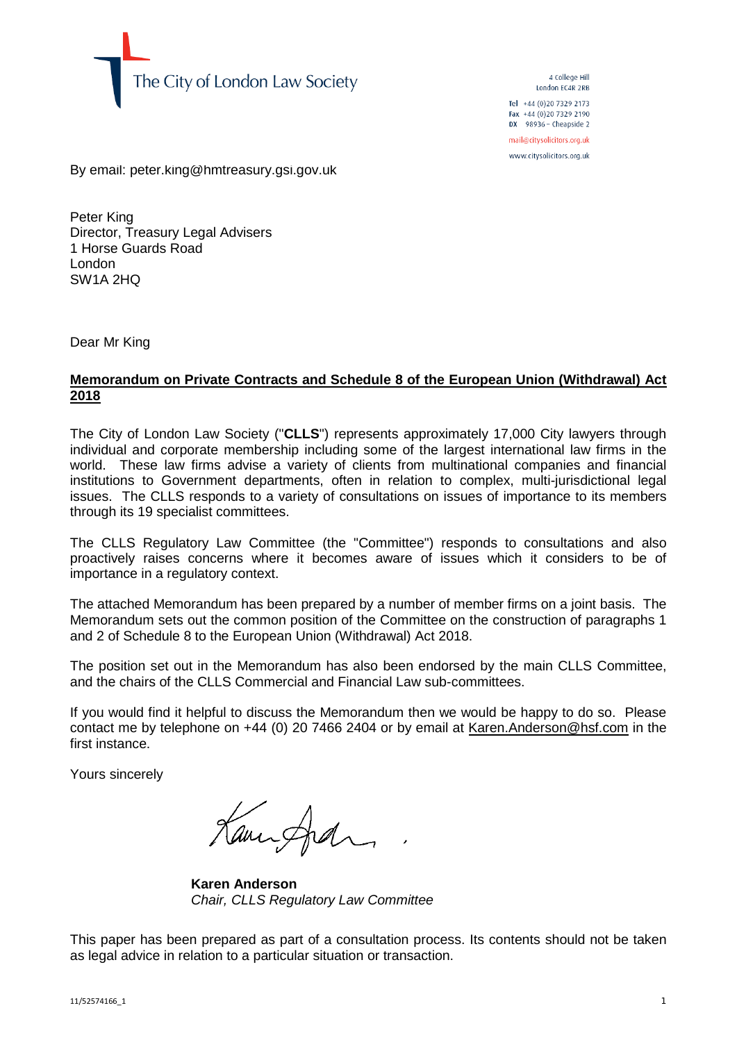

4 College Hill London EC4R 2RB Tel +44 (0) 20 7329 2173 Fax +44 (0) 20 7329 2190  $DX$  98936 - Cheapside 2 mail@citysolicitors.org.uk

www.citysolicitors.org.uk

By email: peter.king@hmtreasury.gsi.gov.uk

Peter King Director, Treasury Legal Advisers 1 Horse Guards Road London SW1A 2HQ

Dear Mr King

## **Memorandum on Private Contracts and Schedule 8 of the European Union (Withdrawal) Act 2018**

The City of London Law Society ("**CLLS**") represents approximately 17,000 City lawyers through individual and corporate membership including some of the largest international law firms in the world. These law firms advise a variety of clients from multinational companies and financial institutions to Government departments, often in relation to complex, multi-jurisdictional legal issues. The CLLS responds to a variety of consultations on issues of importance to its members through its 19 specialist committees.

The CLLS Regulatory Law Committee (the "Committee") responds to consultations and also proactively raises concerns where it becomes aware of issues which it considers to be of importance in a regulatory context.

The attached Memorandum has been prepared by a number of member firms on a joint basis. The Memorandum sets out the common position of the Committee on the construction of paragraphs 1 and 2 of Schedule 8 to the European Union (Withdrawal) Act 2018.

The position set out in the Memorandum has also been endorsed by the main CLLS Committee, and the chairs of the CLLS Commercial and Financial Law sub-committees.

If you would find it helpful to discuss the Memorandum then we would be happy to do so. Please contact me by telephone on +44 (0) 20 7466 2404 or by email at [Karen.Anderson@hsf.com](mailto:Karen.Anderson@hsf.com) in the first instance.

Yours sincerely

Kannfran

**Karen Anderson** *Chair, CLLS Regulatory Law Committee*

This paper has been prepared as part of a consultation process. Its contents should not be taken as legal advice in relation to a particular situation or transaction.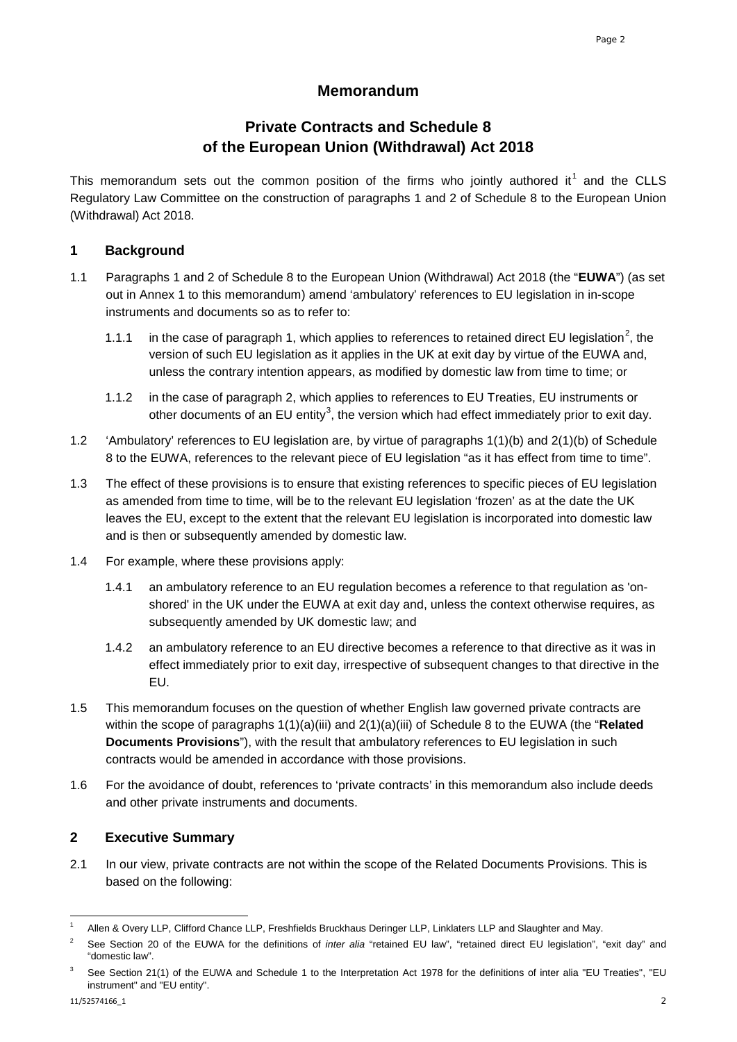## **Memorandum**

# **Private Contracts and Schedule 8 of the European Union (Withdrawal) Act 2018**

This memorandum sets out the common position of the firms who jointly authored it<sup>[1](#page-1-0)</sup> and the CLLS Regulatory Law Committee on the construction of paragraphs 1 and 2 of Schedule 8 to the European Union (Withdrawal) Act 2018.

## **1 Background**

- 1.1 Paragraphs 1 and 2 of Schedule 8 to the European Union (Withdrawal) Act 2018 (the "**EUWA**") (as set out in Annex 1 to this memorandum) amend 'ambulatory' references to EU legislation in in-scope instruments and documents so as to refer to:
	- 1.1.1 in the case of paragraph 1, which applies to references to retained direct EU legislation<sup>[2](#page-1-1)</sup>, the version of such EU legislation as it applies in the UK at exit day by virtue of the EUWA and, unless the contrary intention appears, as modified by domestic law from time to time; or
	- 1.1.2 in the case of paragraph 2, which applies to references to EU Treaties, EU instruments or other documents of an EU entity<sup>[3](#page-1-2)</sup>, the version which had effect immediately prior to exit day.
- 1.2 'Ambulatory' references to EU legislation are, by virtue of paragraphs 1(1)(b) and 2(1)(b) of Schedule 8 to the EUWA, references to the relevant piece of EU legislation "as it has effect from time to time".
- 1.3 The effect of these provisions is to ensure that existing references to specific pieces of EU legislation as amended from time to time, will be to the relevant EU legislation 'frozen' as at the date the UK leaves the EU, except to the extent that the relevant EU legislation is incorporated into domestic law and is then or subsequently amended by domestic law.
- 1.4 For example, where these provisions apply:
	- 1.4.1 an ambulatory reference to an EU regulation becomes a reference to that regulation as 'onshored' in the UK under the EUWA at exit day and, unless the context otherwise requires, as subsequently amended by UK domestic law; and
	- 1.4.2 an ambulatory reference to an EU directive becomes a reference to that directive as it was in effect immediately prior to exit day, irrespective of subsequent changes to that directive in the EU.
- 1.5 This memorandum focuses on the question of whether English law governed private contracts are within the scope of paragraphs 1(1)(a)(iii) and 2(1)(a)(iii) of Schedule 8 to the EUWA (the "**Related Documents Provisions**"), with the result that ambulatory references to EU legislation in such contracts would be amended in accordance with those provisions.
- 1.6 For the avoidance of doubt, references to 'private contracts' in this memorandum also include deeds and other private instruments and documents.

## **2 Executive Summary**

2.1 In our view, private contracts are not within the scope of the Related Documents Provisions. This is based on the following:

i,

<span id="page-1-0"></span><sup>1</sup> Allen & Overy LLP, Clifford Chance LLP, Freshfields Bruckhaus Deringer LLP, Linklaters LLP and Slaughter and May.

<span id="page-1-1"></span><sup>&</sup>lt;sup>2</sup> See Section 20 of the EUWA for the definitions of *inter alia* "retained EU law", "retained direct EU legislation", "exit day" and "domestic law".

<span id="page-1-2"></span>See Section 21(1) of the EUWA and Schedule 1 to the Interpretation Act 1978 for the definitions of inter alia "EU Treaties", "EU instrument" and "EU entity".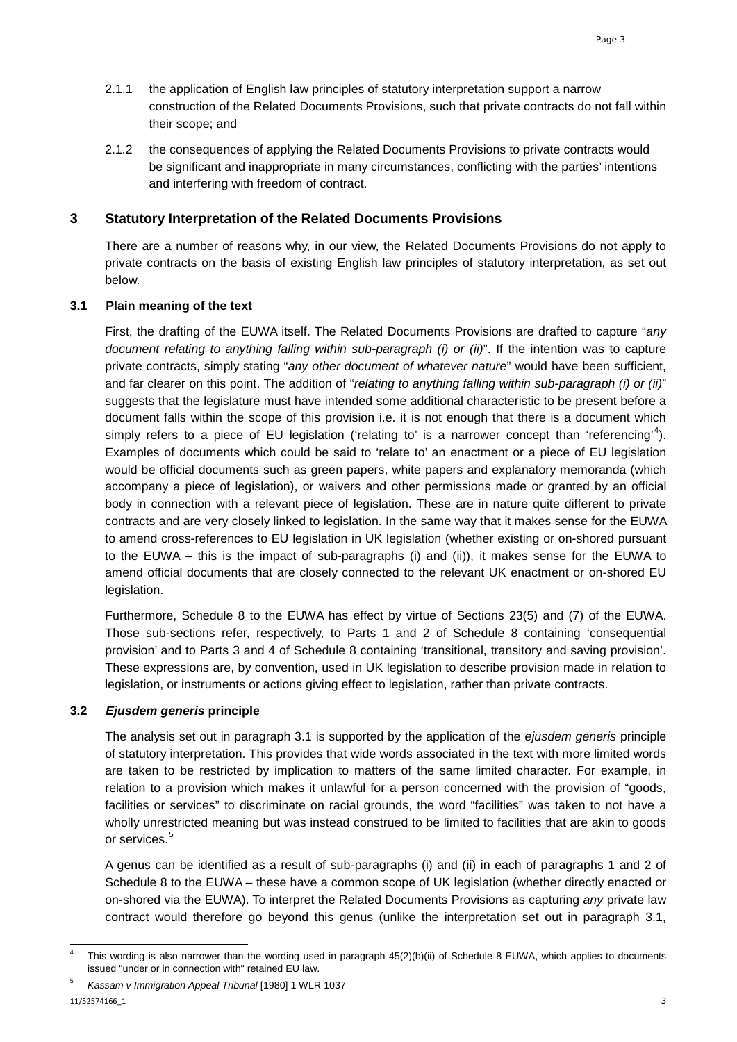- 2.1.1 the application of English law principles of statutory interpretation support a narrow construction of the Related Documents Provisions, such that private contracts do not fall within their scope; and
- 2.1.2 the consequences of applying the Related Documents Provisions to private contracts would be significant and inappropriate in many circumstances, conflicting with the parties' intentions and interfering with freedom of contract.

## **3 Statutory Interpretation of the Related Documents Provisions**

There are a number of reasons why, in our view, the Related Documents Provisions do not apply to private contracts on the basis of existing English law principles of statutory interpretation, as set out below.

#### **3.1 Plain meaning of the text**

First, the drafting of the EUWA itself. The Related Documents Provisions are drafted to capture "*any document relating to anything falling within sub-paragraph (i) or (ii)*". If the intention was to capture private contracts, simply stating "*any other document of whatever nature*" would have been sufficient, and far clearer on this point. The addition of "*relating to anything falling within sub-paragraph (i) or (ii)*" suggests that the legislature must have intended some additional characteristic to be present before a document falls within the scope of this provision i.e. it is not enough that there is a document which simply refers to a piece of EU legislation ('relating to' is a narrower concept than 'referencing'<sup>[4](#page-2-0)</sup>). Examples of documents which could be said to 'relate to' an enactment or a piece of EU legislation would be official documents such as green papers, white papers and explanatory memoranda (which accompany a piece of legislation), or waivers and other permissions made or granted by an official body in connection with a relevant piece of legislation. These are in nature quite different to private contracts and are very closely linked to legislation. In the same way that it makes sense for the EUWA to amend cross-references to EU legislation in UK legislation (whether existing or on-shored pursuant to the EUWA – this is the impact of sub-paragraphs (i) and (ii)), it makes sense for the EUWA to amend official documents that are closely connected to the relevant UK enactment or on-shored EU legislation.

Furthermore, Schedule 8 to the EUWA has effect by virtue of Sections 23(5) and (7) of the EUWA. Those sub-sections refer, respectively, to Parts 1 and 2 of Schedule 8 containing 'consequential provision' and to Parts 3 and 4 of Schedule 8 containing 'transitional, transitory and saving provision'. These expressions are, by convention, used in UK legislation to describe provision made in relation to legislation, or instruments or actions giving effect to legislation, rather than private contracts.

## **3.2** *Ejusdem generis* **principle**

The analysis set out in paragraph 3.1 is supported by the application of the *ejusdem generis* principle of statutory interpretation. This provides that wide words associated in the text with more limited words are taken to be restricted by implication to matters of the same limited character. For example, in relation to a provision which makes it unlawful for a person concerned with the provision of "goods, facilities or services" to discriminate on racial grounds, the word "facilities" was taken to not have a wholly unrestricted meaning but was instead construed to be limited to facilities that are akin to goods or services.<sup>[5](#page-2-1)</sup>

A genus can be identified as a result of sub-paragraphs (i) and (ii) in each of paragraphs 1 and 2 of Schedule 8 to the EUWA – these have a common scope of UK legislation (whether directly enacted or on-shored via the EUWA). To interpret the Related Documents Provisions as capturing *any* private law contract would therefore go beyond this genus (unlike the interpretation set out in paragraph 3.1,

<span id="page-2-0"></span><sup>-</sup>This wording is also narrower than the wording used in paragraph 45(2)(b)(ii) of Schedule 8 EUWA, which applies to documents issued "under or in connection with" retained EU law.

<span id="page-2-1"></span><sup>5</sup> *Kassam v Immigration Appeal Tribunal* [1980] 1 WLR 1037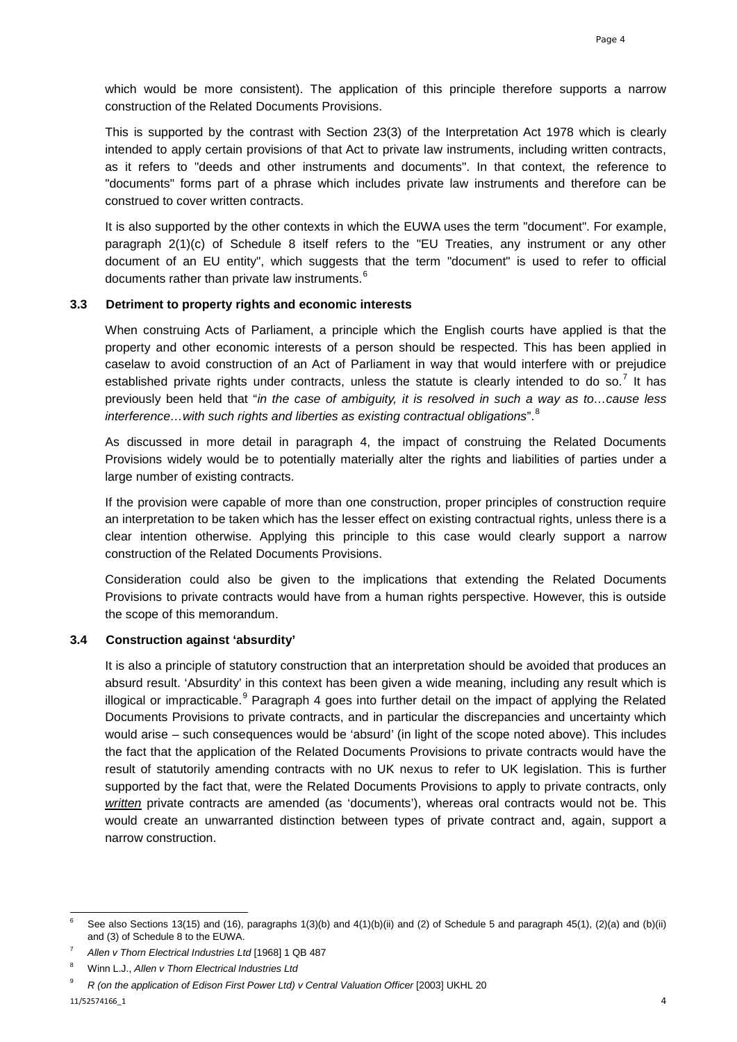which would be more consistent). The application of this principle therefore supports a narrow construction of the Related Documents Provisions.

This is supported by the contrast with Section 23(3) of the Interpretation Act 1978 which is clearly intended to apply certain provisions of that Act to private law instruments, including written contracts, as it refers to "deeds and other instruments and documents". In that context, the reference to "documents" forms part of a phrase which includes private law instruments and therefore can be construed to cover written contracts.

It is also supported by the other contexts in which the EUWA uses the term "document". For example, paragraph 2(1)(c) of Schedule 8 itself refers to the "EU Treaties, any instrument or any other document of an EU entity", which suggests that the term "document" is used to refer to official documents rather than private law instruments.<sup>[6](#page-3-0)</sup>

#### **3.3 Detriment to property rights and economic interests**

When construing Acts of Parliament, a principle which the English courts have applied is that the property and other economic interests of a person should be respected. This has been applied in caselaw to avoid construction of an Act of Parliament in way that would interfere with or prejudice established private rights under contracts, unless the statute is clearly intended to do so.<sup>[7](#page-3-1)</sup> It has previously been held that "*in the case of ambiguity, it is resolved in such a way as to…cause less interference…with such rights and liberties as existing contractual obligations*".[8](#page-3-2)

As discussed in more detail in paragraph 4, the impact of construing the Related Documents Provisions widely would be to potentially materially alter the rights and liabilities of parties under a large number of existing contracts.

If the provision were capable of more than one construction, proper principles of construction require an interpretation to be taken which has the lesser effect on existing contractual rights, unless there is a clear intention otherwise. Applying this principle to this case would clearly support a narrow construction of the Related Documents Provisions.

Consideration could also be given to the implications that extending the Related Documents Provisions to private contracts would have from a human rights perspective. However, this is outside the scope of this memorandum.

## **3.4 Construction against 'absurdity'**

It is also a principle of statutory construction that an interpretation should be avoided that produces an absurd result. 'Absurdity' in this context has been given a wide meaning, including any result which is illogical or impracticable.  $9$  Paragraph 4 goes into further detail on the impact of applying the Related Documents Provisions to private contracts, and in particular the discrepancies and uncertainty which would arise – such consequences would be 'absurd' (in light of the scope noted above). This includes the fact that the application of the Related Documents Provisions to private contracts would have the result of statutorily amending contracts with no UK nexus to refer to UK legislation. This is further supported by the fact that, were the Related Documents Provisions to apply to private contracts, only *written* private contracts are amended (as 'documents'), whereas oral contracts would not be. This would create an unwarranted distinction between types of private contract and, again, support a narrow construction.

<span id="page-3-0"></span>i, 6 See also Sections 13(15) and (16), paragraphs 1(3)(b) and 4(1)(b)(ii) and (2) of Schedule 5 and paragraph 45(1), (2)(a) and (b)(ii) and (3) of Schedule 8 to the EUWA.

<span id="page-3-1"></span><sup>7</sup> *Allen v Thorn Electrical Industries Ltd* [1968] 1 QB 487

<span id="page-3-2"></span><sup>8</sup> Winn L.J., *Allen v Thorn Electrical Industries Ltd*

<span id="page-3-3"></span><sup>9</sup> *R (on the application of Edison First Power Ltd) v Central Valuation Officer* [2003] UKHL 20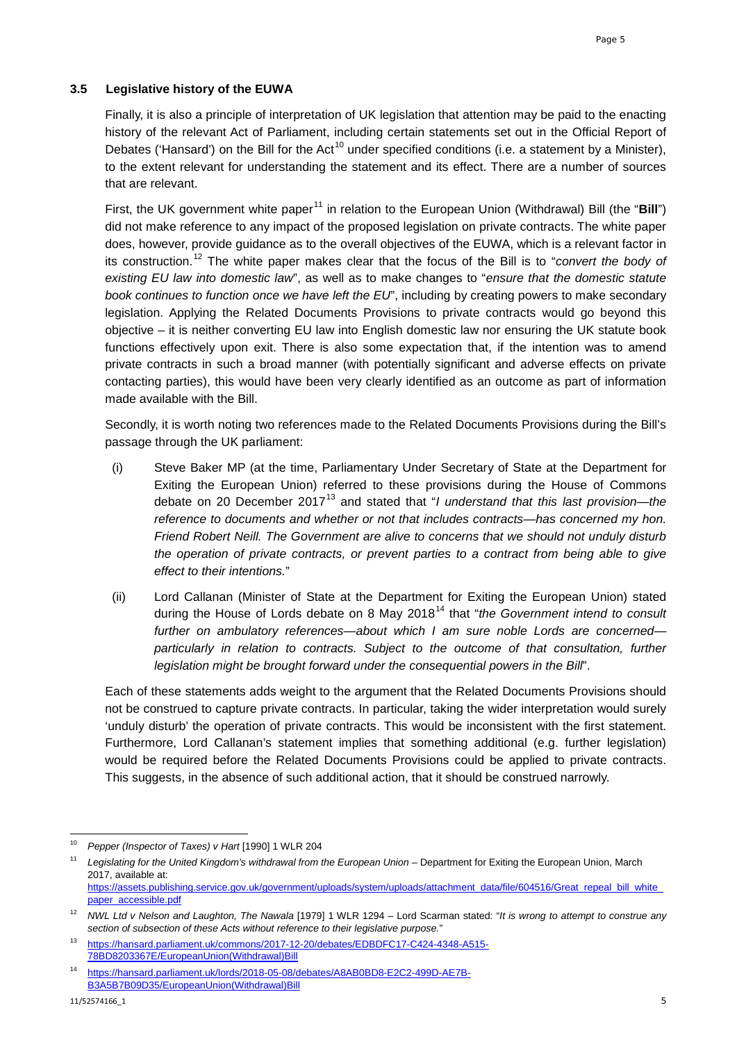## **3.5 Legislative history of the EUWA**

Finally, it is also a principle of interpretation of UK legislation that attention may be paid to the enacting history of the relevant Act of Parliament, including certain statements set out in the Official Report of Debates ('Hansard') on the Bill for the Act<sup>[10](#page-4-0)</sup> under specified conditions (i.e. a statement by a Minister), to the extent relevant for understanding the statement and its effect. There are a number of sources that are relevant.

First, the UK government white paper<sup>[11](#page-4-1)</sup> in relation to the European Union (Withdrawal) Bill (the "Bill") did not make reference to any impact of the proposed legislation on private contracts. The white paper does, however, provide guidance as to the overall objectives of the EUWA, which is a relevant factor in its construction.[12](#page-4-2) The white paper makes clear that the focus of the Bill is to "*convert the body of existing EU law into domestic law*", as well as to make changes to "*ensure that the domestic statute book continues to function once we have left the EU*", including by creating powers to make secondary legislation. Applying the Related Documents Provisions to private contracts would go beyond this objective – it is neither converting EU law into English domestic law nor ensuring the UK statute book functions effectively upon exit. There is also some expectation that, if the intention was to amend private contracts in such a broad manner (with potentially significant and adverse effects on private contacting parties), this would have been very clearly identified as an outcome as part of information made available with the Bill.

Secondly, it is worth noting two references made to the Related Documents Provisions during the Bill's passage through the UK parliament:

- (i) Steve Baker MP (at the time, Parliamentary Under Secretary of State at the Department for Exiting the European Union) referred to these provisions during the House of Commons debate on 20 December 2017<sup>[13](#page-4-3)</sup> and stated that "*I understand that this last provision—the reference to documents and whether or not that includes contracts—has concerned my hon. Friend Robert Neill. The Government are alive to concerns that we should not unduly disturb the operation of private contracts, or prevent parties to a contract from being able to give effect to their intentions.*"
- (ii) Lord Callanan (Minister of State at the Department for Exiting the European Union) stated during the House of Lords debate on 8 May 2018<sup>[14](#page-4-4)</sup> that "*the Government intend to consult further on ambulatory references—about which I am sure noble Lords are concerned particularly in relation to contracts. Subject to the outcome of that consultation, further legislation might be brought forward under the consequential powers in the Bill*".

Each of these statements adds weight to the argument that the Related Documents Provisions should not be construed to capture private contracts. In particular, taking the wider interpretation would surely 'unduly disturb' the operation of private contracts. This would be inconsistent with the first statement. Furthermore, Lord Callanan's statement implies that something additional (e.g. further legislation) would be required before the Related Documents Provisions could be applied to private contracts. This suggests, in the absence of such additional action, that it should be construed narrowly.

<span id="page-4-0"></span> $10$ 10 *Pepper (Inspector of Taxes) v Hart* [1990] 1 WLR 204

<span id="page-4-1"></span><sup>11</sup> *Legislating for the United Kingdom's withdrawal from the European Union* – Department for Exiting the European Union, March 2017, available at:

[https://assets.publishing.service.gov.uk/government/uploads/system/uploads/attachment\\_data/file/604516/Great\\_repeal\\_bill\\_white\\_](https://assets.publishing.service.gov.uk/government/uploads/system/uploads/attachment_data/file/604516/Great_repeal_bill_white_paper_accessible.pdf) [paper\\_accessible.pdf](https://assets.publishing.service.gov.uk/government/uploads/system/uploads/attachment_data/file/604516/Great_repeal_bill_white_paper_accessible.pdf) 

<span id="page-4-2"></span><sup>12</sup> *NWL Ltd v Nelson and Laughton, The Nawala* [1979] 1 WLR 1294 – Lord Scarman stated: "*It is wrong to attempt to construe any section of subsection of these Acts without reference to their legislative purpose.*"

<span id="page-4-3"></span><sup>13</sup> [https://hansard.parliament.uk/commons/2017-12-20/debates/EDBDFC17-C424-4348-A515-](https://hansard.parliament.uk/commons/2017-12-20/debates/EDBDFC17-C424-4348-A515-78BD8203367E/EuropeanUnion(Withdrawal)Bill) [78BD8203367E/EuropeanUnion\(Withdrawal\)Bill](https://hansard.parliament.uk/commons/2017-12-20/debates/EDBDFC17-C424-4348-A515-78BD8203367E/EuropeanUnion(Withdrawal)Bill)

<span id="page-4-4"></span><sup>14</sup> [https://hansard.parliament.uk/lords/2018-05-08/debates/A8AB0BD8-E2C2-499D-AE7B-](https://hansard.parliament.uk/lords/2018-05-08/debates/A8AB0BD8-E2C2-499D-AE7B-B3A5B7B09D35/EuropeanUnion(Withdrawal)Bill)[B3A5B7B09D35/EuropeanUnion\(Withdrawal\)Bill](https://hansard.parliament.uk/lords/2018-05-08/debates/A8AB0BD8-E2C2-499D-AE7B-B3A5B7B09D35/EuropeanUnion(Withdrawal)Bill)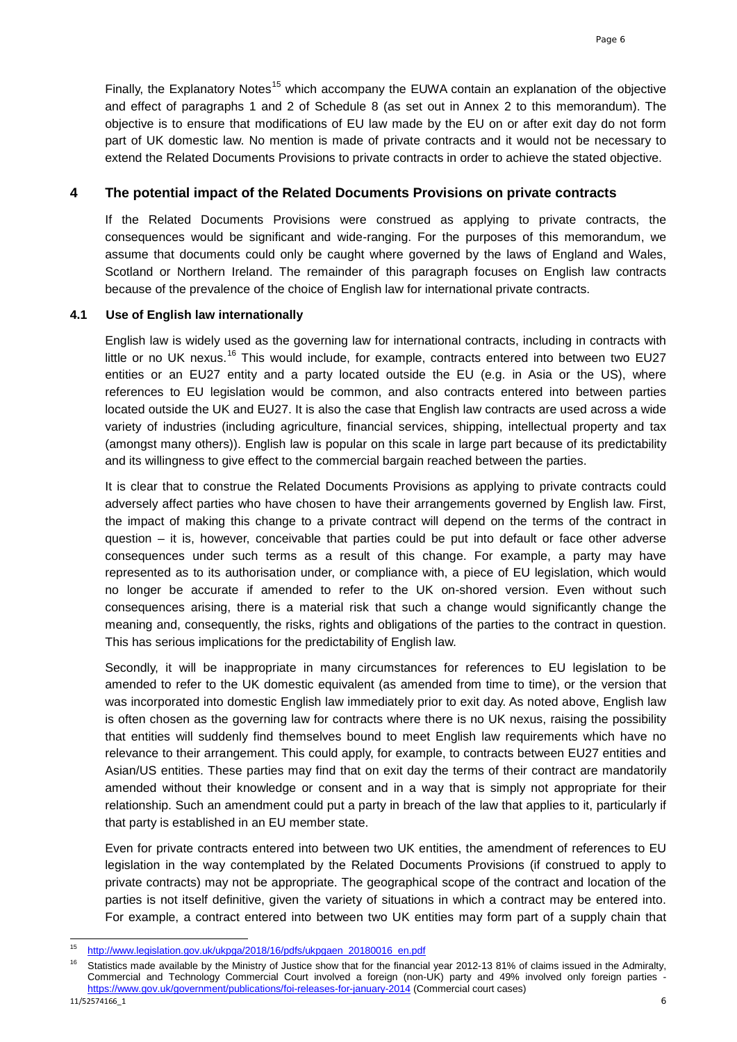Finally, the Explanatory Notes<sup>[15](#page-5-0)</sup> which accompany the EUWA contain an explanation of the objective and effect of paragraphs 1 and 2 of Schedule 8 (as set out in Annex 2 to this memorandum). The objective is to ensure that modifications of EU law made by the EU on or after exit day do not form part of UK domestic law. No mention is made of private contracts and it would not be necessary to extend the Related Documents Provisions to private contracts in order to achieve the stated objective.

## **4 The potential impact of the Related Documents Provisions on private contracts**

If the Related Documents Provisions were construed as applying to private contracts, the consequences would be significant and wide-ranging. For the purposes of this memorandum, we assume that documents could only be caught where governed by the laws of England and Wales, Scotland or Northern Ireland. The remainder of this paragraph focuses on English law contracts because of the prevalence of the choice of English law for international private contracts.

#### **4.1 Use of English law internationally**

English law is widely used as the governing law for international contracts, including in contracts with little or no UK nexus.<sup>[16](#page-5-1)</sup> This would include, for example, contracts entered into between two EU27 entities or an EU27 entity and a party located outside the EU (e.g. in Asia or the US), where references to EU legislation would be common, and also contracts entered into between parties located outside the UK and EU27. It is also the case that English law contracts are used across a wide variety of industries (including agriculture, financial services, shipping, intellectual property and tax (amongst many others)). English law is popular on this scale in large part because of its predictability and its willingness to give effect to the commercial bargain reached between the parties.

It is clear that to construe the Related Documents Provisions as applying to private contracts could adversely affect parties who have chosen to have their arrangements governed by English law. First, the impact of making this change to a private contract will depend on the terms of the contract in question – it is, however, conceivable that parties could be put into default or face other adverse consequences under such terms as a result of this change. For example, a party may have represented as to its authorisation under, or compliance with, a piece of EU legislation, which would no longer be accurate if amended to refer to the UK on-shored version. Even without such consequences arising, there is a material risk that such a change would significantly change the meaning and, consequently, the risks, rights and obligations of the parties to the contract in question. This has serious implications for the predictability of English law.

Secondly, it will be inappropriate in many circumstances for references to EU legislation to be amended to refer to the UK domestic equivalent (as amended from time to time), or the version that was incorporated into domestic English law immediately prior to exit day. As noted above, English law is often chosen as the governing law for contracts where there is no UK nexus, raising the possibility that entities will suddenly find themselves bound to meet English law requirements which have no relevance to their arrangement. This could apply, for example, to contracts between EU27 entities and Asian/US entities. These parties may find that on exit day the terms of their contract are mandatorily amended without their knowledge or consent and in a way that is simply not appropriate for their relationship. Such an amendment could put a party in breach of the law that applies to it, particularly if that party is established in an EU member state.

Even for private contracts entered into between two UK entities, the amendment of references to EU legislation in the way contemplated by the Related Documents Provisions (if construed to apply to private contracts) may not be appropriate. The geographical scope of the contract and location of the parties is not itself definitive, given the variety of situations in which a contract may be entered into. For example, a contract entered into between two UK entities may form part of a supply chain that

<span id="page-5-0"></span> $15<sup>15</sup>$ [http://www.legislation.gov.uk/ukpga/2018/16/pdfs/ukpgaen\\_20180016\\_en.pdf](http://www.legislation.gov.uk/ukpga/2018/16/pdfs/ukpgaen_20180016_en.pdf)

<span id="page-5-1"></span><sup>11/52574166</sup>\_1 6 <sup>16</sup> Statistics made available by the Ministry of Justice show that for the financial year 2012-13 81% of claims issued in the Admiralty, Commercial and Technology Commercial Court involved a foreign (non-UK) party and 49% involved only foreign parties <https://www.gov.uk/government/publications/foi-releases-for-january-2014> (Commercial court cases)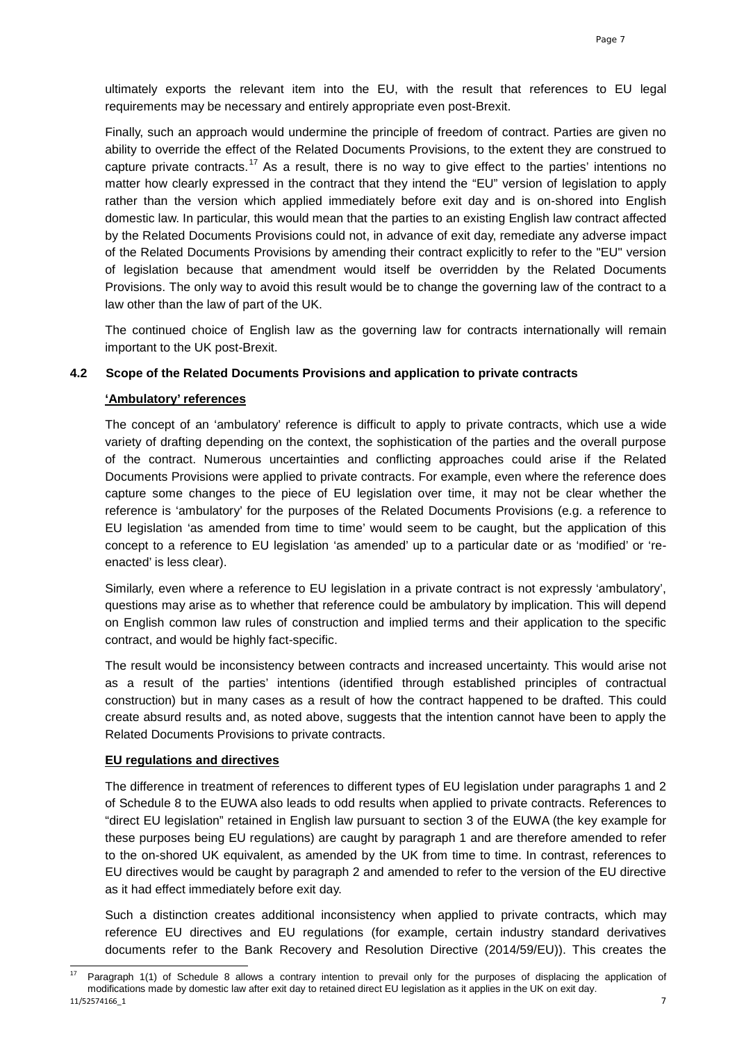ultimately exports the relevant item into the EU, with the result that references to EU legal requirements may be necessary and entirely appropriate even post-Brexit.

Finally, such an approach would undermine the principle of freedom of contract. Parties are given no ability to override the effect of the Related Documents Provisions, to the extent they are construed to capture private contracts.<sup>[17](#page-6-0)</sup> As a result, there is no way to give effect to the parties' intentions no matter how clearly expressed in the contract that they intend the "EU" version of legislation to apply rather than the version which applied immediately before exit day and is on-shored into English domestic law. In particular, this would mean that the parties to an existing English law contract affected by the Related Documents Provisions could not, in advance of exit day, remediate any adverse impact of the Related Documents Provisions by amending their contract explicitly to refer to the "EU" version of legislation because that amendment would itself be overridden by the Related Documents Provisions. The only way to avoid this result would be to change the governing law of the contract to a law other than the law of part of the UK.

The continued choice of English law as the governing law for contracts internationally will remain important to the UK post-Brexit.

#### **4.2 Scope of the Related Documents Provisions and application to private contracts**

#### **'Ambulatory' references**

The concept of an 'ambulatory' reference is difficult to apply to private contracts, which use a wide variety of drafting depending on the context, the sophistication of the parties and the overall purpose of the contract. Numerous uncertainties and conflicting approaches could arise if the Related Documents Provisions were applied to private contracts. For example, even where the reference does capture some changes to the piece of EU legislation over time, it may not be clear whether the reference is 'ambulatory' for the purposes of the Related Documents Provisions (e.g. a reference to EU legislation 'as amended from time to time' would seem to be caught, but the application of this concept to a reference to EU legislation 'as amended' up to a particular date or as 'modified' or 'reenacted' is less clear).

Similarly, even where a reference to EU legislation in a private contract is not expressly 'ambulatory', questions may arise as to whether that reference could be ambulatory by implication. This will depend on English common law rules of construction and implied terms and their application to the specific contract, and would be highly fact-specific.

The result would be inconsistency between contracts and increased uncertainty. This would arise not as a result of the parties' intentions (identified through established principles of contractual construction) but in many cases as a result of how the contract happened to be drafted. This could create absurd results and, as noted above, suggests that the intention cannot have been to apply the Related Documents Provisions to private contracts.

#### **EU regulations and directives**

The difference in treatment of references to different types of EU legislation under paragraphs 1 and 2 of Schedule 8 to the EUWA also leads to odd results when applied to private contracts. References to "direct EU legislation" retained in English law pursuant to section 3 of the EUWA (the key example for these purposes being EU regulations) are caught by paragraph 1 and are therefore amended to refer to the on-shored UK equivalent, as amended by the UK from time to time. In contrast, references to EU directives would be caught by paragraph 2 and amended to refer to the version of the EU directive as it had effect immediately before exit day.

Such a distinction creates additional inconsistency when applied to private contracts, which may reference EU directives and EU regulations (for example, certain industry standard derivatives documents refer to the Bank Recovery and Resolution Directive (2014/59/EU)). This creates the

<span id="page-6-0"></span><sup>11/52574166</sup>\_1 7 Paragraph 1(1) of Schedule 8 allows a contrary intention to prevail only for the purposes of displacing the application of modifications made by domestic law after exit day to retained direct EU legislation as it applies in the UK on exit day.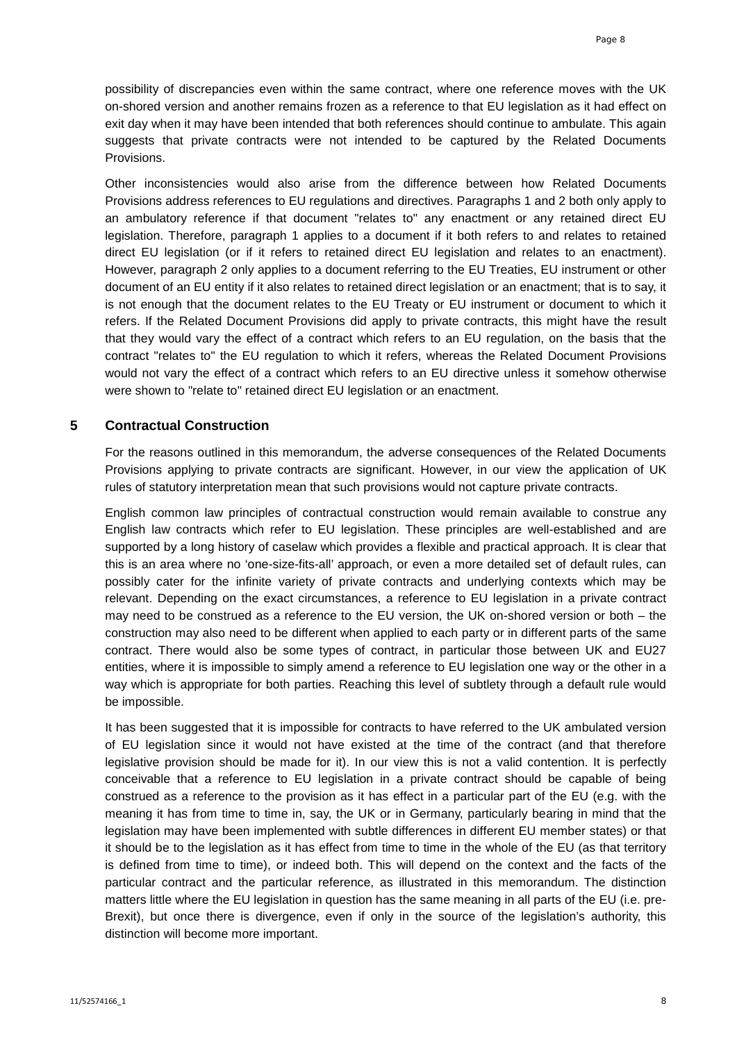possibility of discrepancies even within the same contract, where one reference moves with the UK on-shored version and another remains frozen as a reference to that EU legislation as it had effect on exit day when it may have been intended that both references should continue to ambulate. This again suggests that private contracts were not intended to be captured by the Related Documents Provisions.

Other inconsistencies would also arise from the difference between how Related Documents Provisions address references to EU regulations and directives. Paragraphs 1 and 2 both only apply to an ambulatory reference if that document "relates to" any enactment or any retained direct EU legislation. Therefore, paragraph 1 applies to a document if it both refers to and relates to retained direct EU legislation (or if it refers to retained direct EU legislation and relates to an enactment). However, paragraph 2 only applies to a document referring to the EU Treaties, EU instrument or other document of an EU entity if it also relates to retained direct legislation or an enactment; that is to say, it is not enough that the document relates to the EU Treaty or EU instrument or document to which it refers. If the Related Document Provisions did apply to private contracts, this might have the result that they would vary the effect of a contract which refers to an EU regulation, on the basis that the contract "relates to" the EU regulation to which it refers, whereas the Related Document Provisions would not vary the effect of a contract which refers to an EU directive unless it somehow otherwise were shown to "relate to" retained direct EU legislation or an enactment.

## **5 Contractual Construction**

For the reasons outlined in this memorandum, the adverse consequences of the Related Documents Provisions applying to private contracts are significant. However, in our view the application of UK rules of statutory interpretation mean that such provisions would not capture private contracts.

English common law principles of contractual construction would remain available to construe any English law contracts which refer to EU legislation. These principles are well-established and are supported by a long history of caselaw which provides a flexible and practical approach. It is clear that this is an area where no 'one-size-fits-all' approach, or even a more detailed set of default rules, can possibly cater for the infinite variety of private contracts and underlying contexts which may be relevant. Depending on the exact circumstances, a reference to EU legislation in a private contract may need to be construed as a reference to the EU version, the UK on-shored version or both – the construction may also need to be different when applied to each party or in different parts of the same contract. There would also be some types of contract, in particular those between UK and EU27 entities, where it is impossible to simply amend a reference to EU legislation one way or the other in a way which is appropriate for both parties. Reaching this level of subtlety through a default rule would be impossible.

It has been suggested that it is impossible for contracts to have referred to the UK ambulated version of EU legislation since it would not have existed at the time of the contract (and that therefore legislative provision should be made for it). In our view this is not a valid contention. It is perfectly conceivable that a reference to EU legislation in a private contract should be capable of being construed as a reference to the provision as it has effect in a particular part of the EU (e.g. with the meaning it has from time to time in, say, the UK or in Germany, particularly bearing in mind that the legislation may have been implemented with subtle differences in different EU member states) or that it should be to the legislation as it has effect from time to time in the whole of the EU (as that territory is defined from time to time), or indeed both. This will depend on the context and the facts of the particular contract and the particular reference, as illustrated in this memorandum. The distinction matters little where the EU legislation in question has the same meaning in all parts of the EU (i.e. pre-Brexit), but once there is divergence, even if only in the source of the legislation's authority, this distinction will become more important.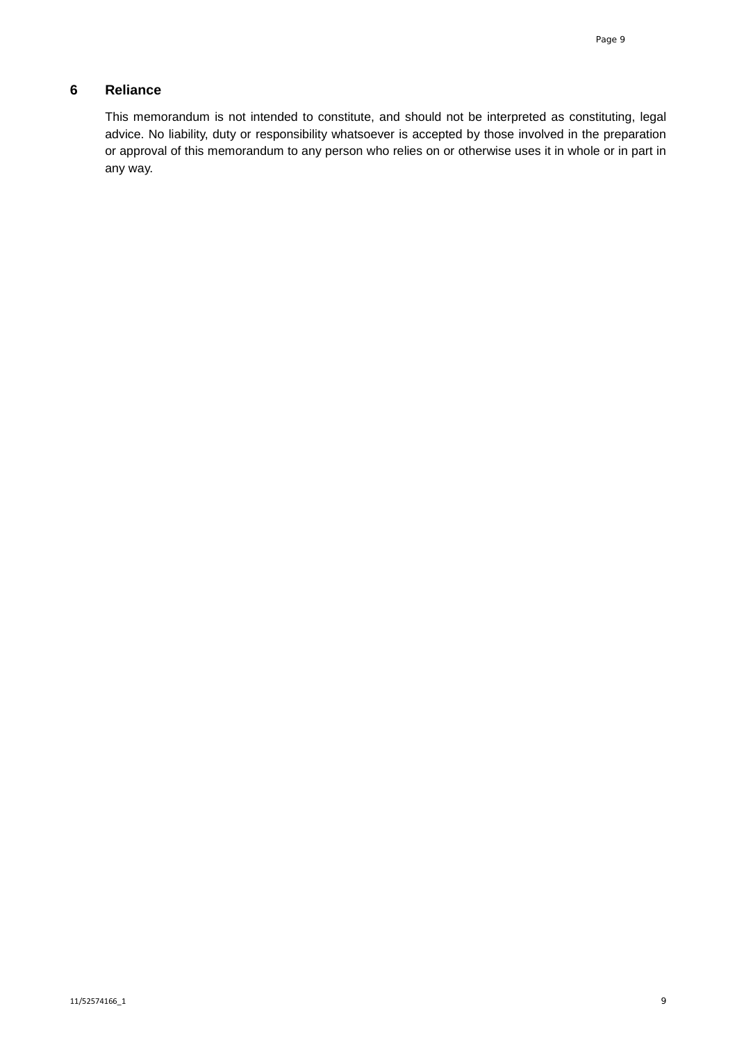# **6 Reliance**

This memorandum is not intended to constitute, and should not be interpreted as constituting, legal advice. No liability, duty or responsibility whatsoever is accepted by those involved in the preparation or approval of this memorandum to any person who relies on or otherwise uses it in whole or in part in any way.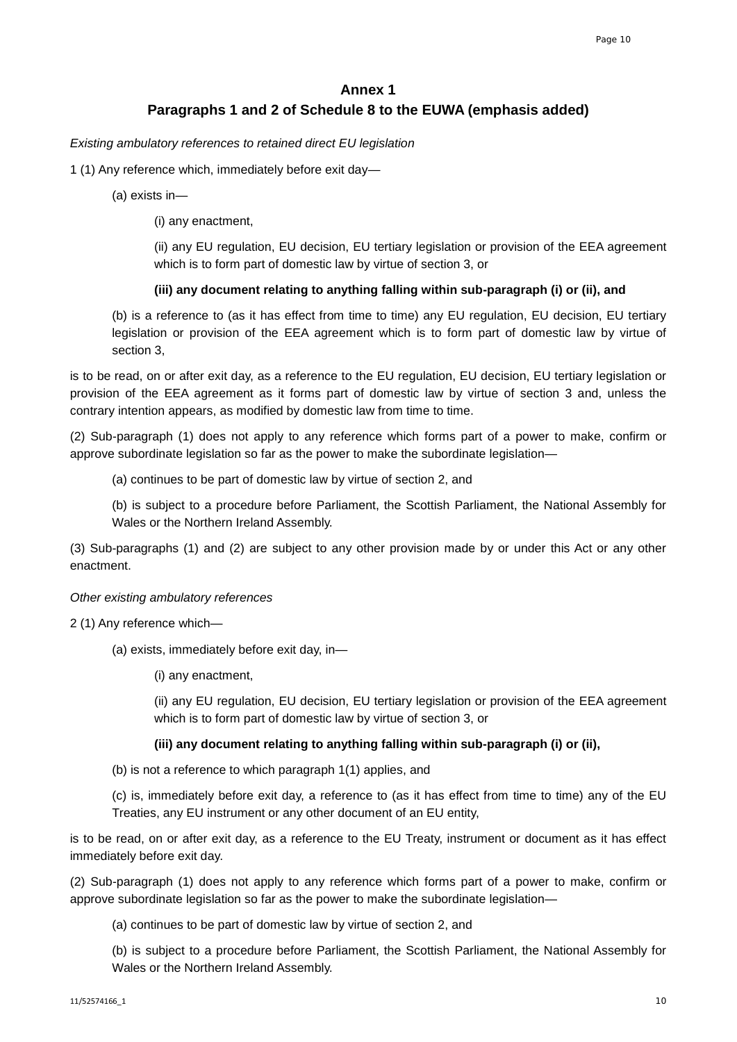# **Annex 1 Paragraphs 1 and 2 of Schedule 8 to the EUWA (emphasis added)**

## *Existing ambulatory references to retained direct EU legislation*

## 1 (1) Any reference which, immediately before exit day—

- (a) exists in—
	- (i) any enactment,

(ii) any EU regulation, EU decision, EU tertiary legislation or provision of the EEA agreement which is to form part of domestic law by virtue of section 3, or

## **(iii) any document relating to anything falling within sub-paragraph (i) or (ii), and**

(b) is a reference to (as it has effect from time to time) any EU regulation, EU decision, EU tertiary legislation or provision of the EEA agreement which is to form part of domestic law by virtue of section 3,

is to be read, on or after exit day, as a reference to the EU regulation, EU decision, EU tertiary legislation or provision of the EEA agreement as it forms part of domestic law by virtue of section 3 and, unless the contrary intention appears, as modified by domestic law from time to time.

(2) Sub-paragraph (1) does not apply to any reference which forms part of a power to make, confirm or approve subordinate legislation so far as the power to make the subordinate legislation—

(a) continues to be part of domestic law by virtue of section 2, and

(b) is subject to a procedure before Parliament, the Scottish Parliament, the National Assembly for Wales or the Northern Ireland Assembly.

(3) Sub-paragraphs (1) and (2) are subject to any other provision made by or under this Act or any other enactment.

## *Other existing ambulatory references*

2 (1) Any reference which—

(a) exists, immediately before exit day, in—

(i) any enactment,

(ii) any EU regulation, EU decision, EU tertiary legislation or provision of the EEA agreement which is to form part of domestic law by virtue of section 3, or

## **(iii) any document relating to anything falling within sub-paragraph (i) or (ii),**

(b) is not a reference to which paragraph 1(1) applies, and

(c) is, immediately before exit day, a reference to (as it has effect from time to time) any of the EU Treaties, any EU instrument or any other document of an EU entity,

is to be read, on or after exit day, as a reference to the EU Treaty, instrument or document as it has effect immediately before exit day.

(2) Sub-paragraph (1) does not apply to any reference which forms part of a power to make, confirm or approve subordinate legislation so far as the power to make the subordinate legislation—

(a) continues to be part of domestic law by virtue of section 2, and

(b) is subject to a procedure before Parliament, the Scottish Parliament, the National Assembly for Wales or the Northern Ireland Assembly.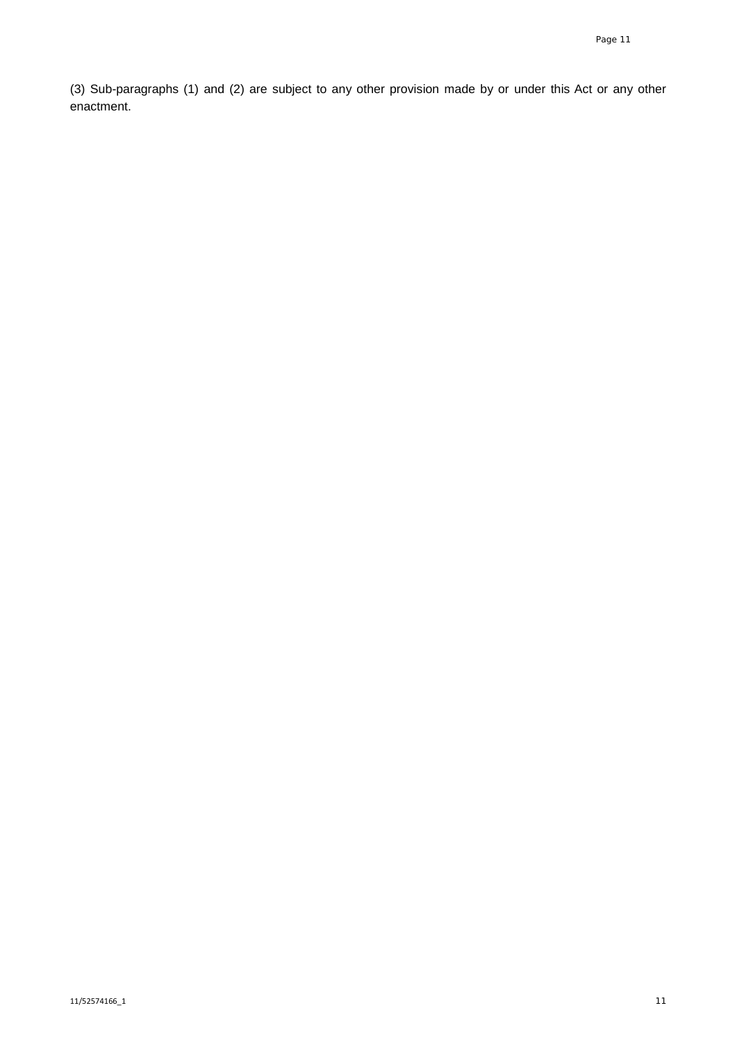(3) Sub-paragraphs (1) and (2) are subject to any other provision made by or under this Act or any other enactment.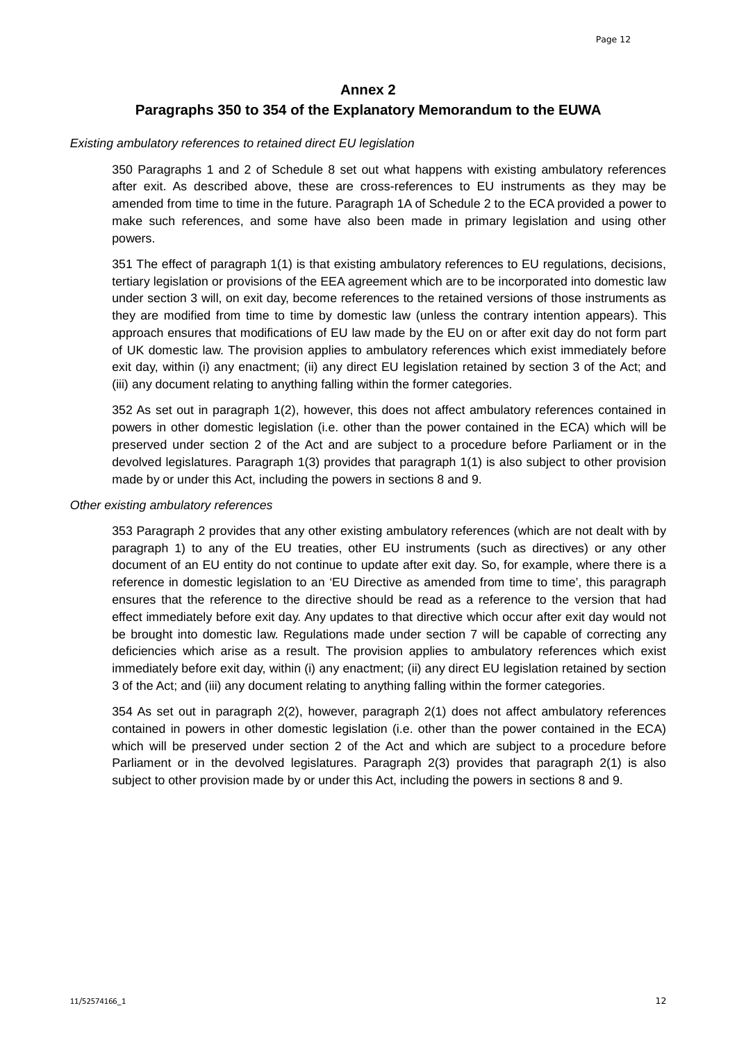## **Annex 2**

## **Paragraphs 350 to 354 of the Explanatory Memorandum to the EUWA**

#### *Existing ambulatory references to retained direct EU legislation*

350 Paragraphs 1 and 2 of Schedule 8 set out what happens with existing ambulatory references after exit. As described above, these are cross-references to EU instruments as they may be amended from time to time in the future. Paragraph 1A of Schedule 2 to the ECA provided a power to make such references, and some have also been made in primary legislation and using other powers.

351 The effect of paragraph 1(1) is that existing ambulatory references to EU regulations, decisions, tertiary legislation or provisions of the EEA agreement which are to be incorporated into domestic law under section 3 will, on exit day, become references to the retained versions of those instruments as they are modified from time to time by domestic law (unless the contrary intention appears). This approach ensures that modifications of EU law made by the EU on or after exit day do not form part of UK domestic law. The provision applies to ambulatory references which exist immediately before exit day, within (i) any enactment; (ii) any direct EU legislation retained by section 3 of the Act; and (iii) any document relating to anything falling within the former categories.

352 As set out in paragraph 1(2), however, this does not affect ambulatory references contained in powers in other domestic legislation (i.e. other than the power contained in the ECA) which will be preserved under section 2 of the Act and are subject to a procedure before Parliament or in the devolved legislatures. Paragraph 1(3) provides that paragraph 1(1) is also subject to other provision made by or under this Act, including the powers in sections 8 and 9.

#### *Other existing ambulatory references*

353 Paragraph 2 provides that any other existing ambulatory references (which are not dealt with by paragraph 1) to any of the EU treaties, other EU instruments (such as directives) or any other document of an EU entity do not continue to update after exit day. So, for example, where there is a reference in domestic legislation to an 'EU Directive as amended from time to time', this paragraph ensures that the reference to the directive should be read as a reference to the version that had effect immediately before exit day. Any updates to that directive which occur after exit day would not be brought into domestic law. Regulations made under section 7 will be capable of correcting any deficiencies which arise as a result. The provision applies to ambulatory references which exist immediately before exit day, within (i) any enactment; (ii) any direct EU legislation retained by section 3 of the Act; and (iii) any document relating to anything falling within the former categories.

354 As set out in paragraph 2(2), however, paragraph 2(1) does not affect ambulatory references contained in powers in other domestic legislation (i.e. other than the power contained in the ECA) which will be preserved under section 2 of the Act and which are subject to a procedure before Parliament or in the devolved legislatures. Paragraph 2(3) provides that paragraph 2(1) is also subject to other provision made by or under this Act, including the powers in sections 8 and 9.